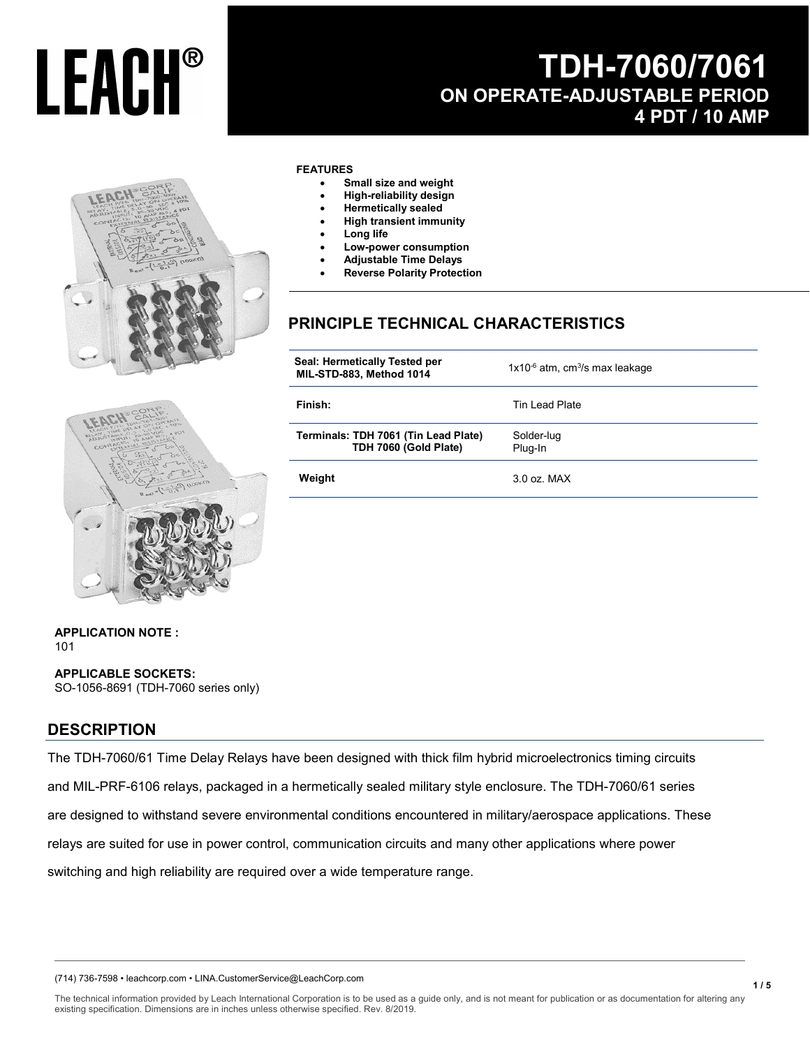## **TDH-7060/7061 ON OPERATE-ADJUSTABLE PERIOD 4 PDT / 10 AMP**



#### **FEATURES**

- **Small size and weight**
- **High-reliability design**
- **Hermetically sealed**
- **High transient immunity**
- **Long life**
- **Low-power consumption**
- **Adjustable Time Delays**
- **Reverse Polarity Protection**

### **PRINCIPLE TECHNICAL CHARACTERISTICS**

| Seal: Hermetically Tested per<br>MIL-STD-883, Method 1014     | $1x10^{-6}$ atm, cm <sup>3</sup> /s max leakage |
|---------------------------------------------------------------|-------------------------------------------------|
| Finish:                                                       | Tin Lead Plate                                  |
| Terminals: TDH 7061 (Tin Lead Plate)<br>TDH 7060 (Gold Plate) | Solder-lug<br>Plug-In                           |
| Weight                                                        | $3.0$ oz. MAX                                   |



**APPLICATION NOTE :**  101

**APPLICABLE SOCKETS:** SO-1056-8691 (TDH-7060 series only)

#### **DESCRIPTION**

The TDH-7060/61 Time Delay Relays have been designed with thick film hybrid microelectronics timing circuits and MIL-PRF-6106 relays, packaged in a hermetically sealed military style enclosure. The TDH-7060/61 series are designed to withstand severe environmental conditions encountered in military/aerospace applications. These relays are suited for use in power control, communication circuits and many other applications where power switching and high reliability are required over a wide temperature range.

(714) 736-7598 • leachcorp.com • LINA.CustomerService@LeachCorp.com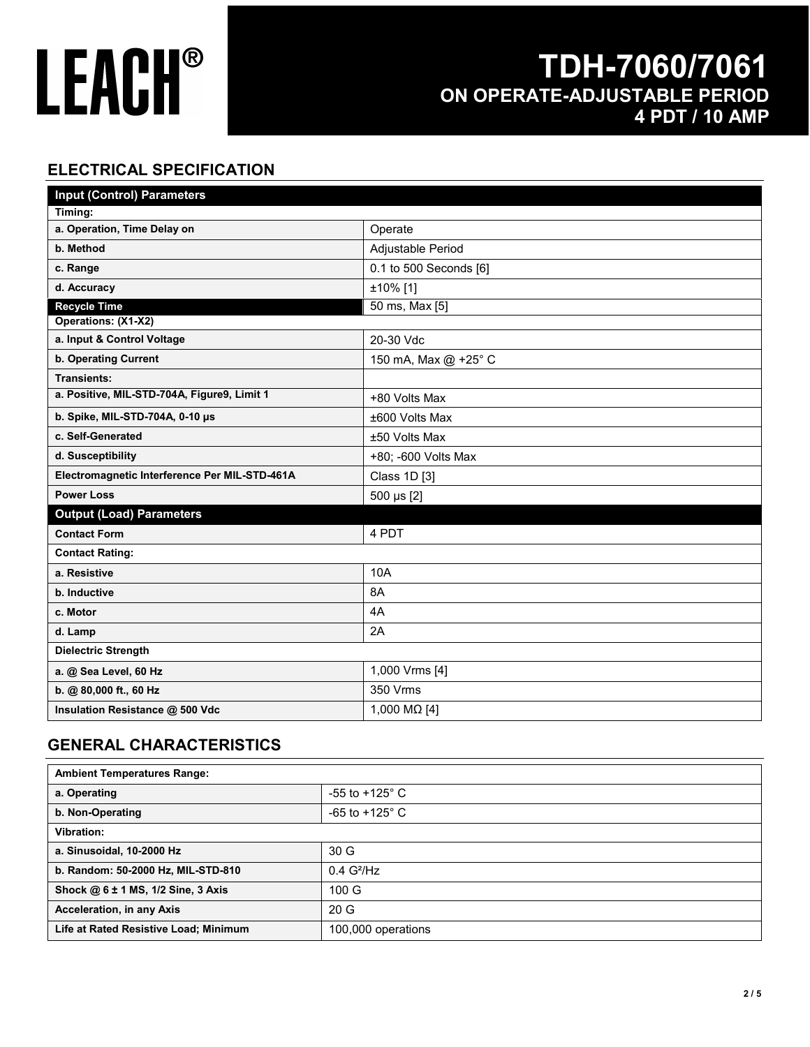## **TDH-7060/7061 ON OPERATE-ADJUSTABLE PERIOD 4 PDT / 10 AMP**

### **ELECTRICAL SPECIFICATION**

| <b>Input (Control) Parameters</b>             |                        |
|-----------------------------------------------|------------------------|
| Timing:                                       |                        |
| a. Operation, Time Delay on                   | Operate                |
| b. Method                                     | Adjustable Period      |
| c. Range                                      | 0.1 to 500 Seconds [6] |
| d. Accuracy                                   | ±10% [1]               |
| <b>Recycle Time</b>                           | 50 ms, Max [5]         |
| Operations: (X1-X2)                           |                        |
| a. Input & Control Voltage                    | 20-30 Vdc              |
| <b>b. Operating Current</b>                   | 150 mA, Max @ +25° C   |
| <b>Transients:</b>                            |                        |
| a. Positive, MIL-STD-704A, Figure9, Limit 1   | +80 Volts Max          |
| b. Spike, MIL-STD-704A, 0-10 µs               | ±600 Volts Max         |
| c. Self-Generated                             | ±50 Volts Max          |
| d. Susceptibility                             | +80; -600 Volts Max    |
| Electromagnetic Interference Per MIL-STD-461A | Class 1D [3]           |
| <b>Power Loss</b>                             | 500 µs [2]             |
| <b>Output (Load) Parameters</b>               |                        |
| <b>Contact Form</b>                           | 4 PDT                  |
| <b>Contact Rating:</b>                        |                        |
| a. Resistive                                  | 10A                    |
| b. Inductive                                  | 8A                     |
| c. Motor                                      | 4A                     |
| d. Lamp                                       | 2A                     |
| <b>Dielectric Strength</b>                    |                        |
| a. @ Sea Level, 60 Hz                         | 1,000 Vrms [4]         |
| b. @ 80,000 ft., 60 Hz                        | 350 Vrms               |
| Insulation Resistance @ 500 Vdc               | 1,000 MΩ [4]           |

### **GENERAL CHARACTERISTICS**

| <b>Ambient Temperatures Range:</b>    |                           |
|---------------------------------------|---------------------------|
| a. Operating                          | -55 to +125 $^{\circ}$ C  |
| b. Non-Operating                      | $-65$ to $+125^{\circ}$ C |
| Vibration:                            |                           |
| a. Sinusoidal, 10-2000 Hz             | 30 <sub>G</sub>           |
| b. Random: 50-2000 Hz, MIL-STD-810    | $0.4$ G <sup>2</sup> /Hz  |
| Shock @ 6 ± 1 MS, 1/2 Sine, 3 Axis    | 100 G                     |
| Acceleration, in any Axis             | 20G                       |
| Life at Rated Resistive Load; Minimum | 100,000 operations        |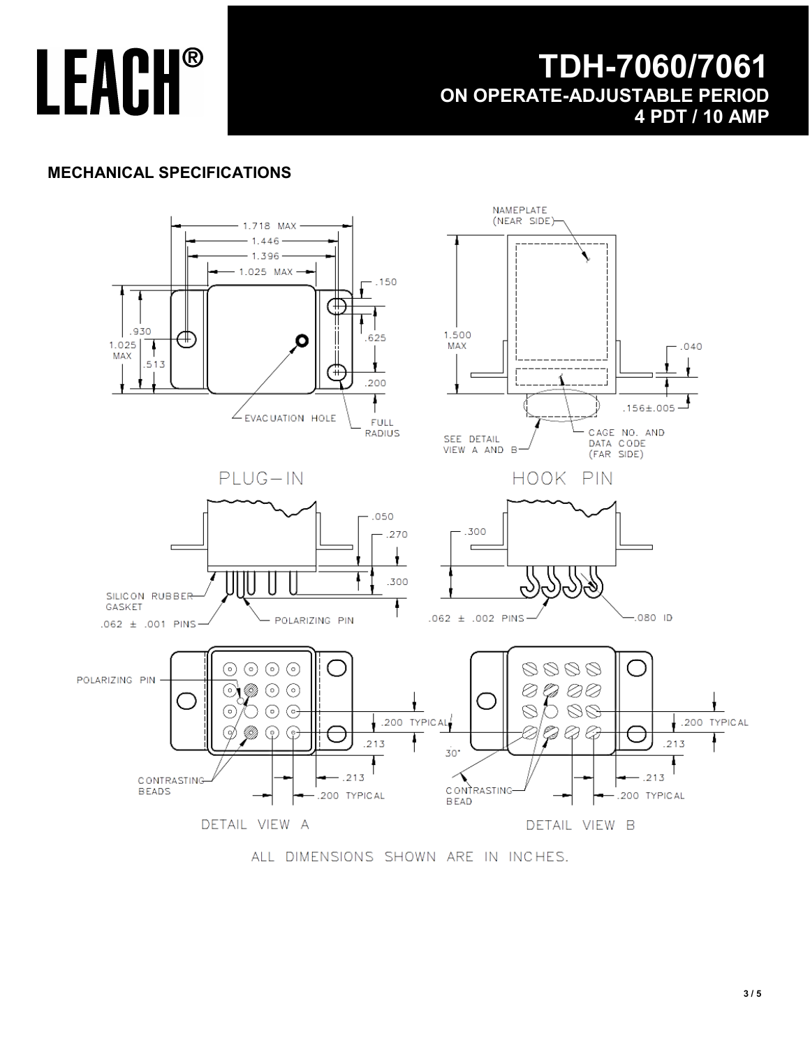## **TDH-7060/7061 ON OPERATE-ADJUSTABLE PERIOD 4 PDT / 10 AMP**

### **MECHANICAL SPECIFICATIONS**



ALL DIMENSIONS SHOWN ARE IN INCHES.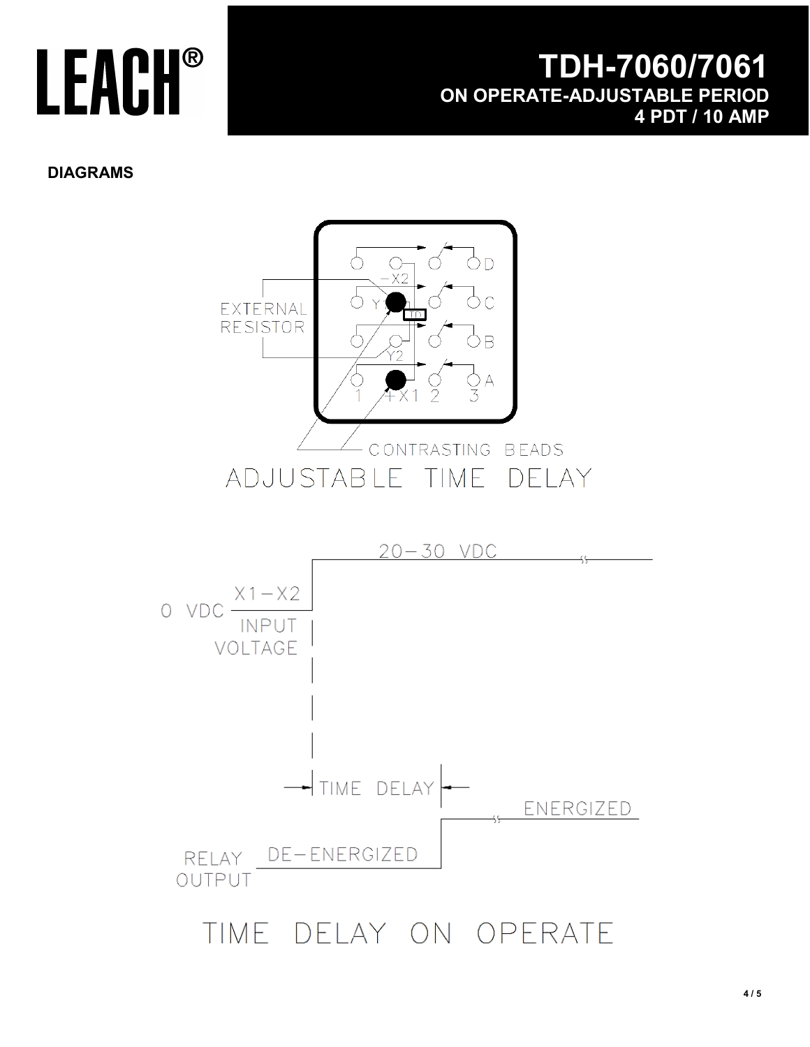## **TDH-7060/7061 ON OPERATE-ADJUSTABLE PERIOD 4 PDT / 10 AMP**

#### **DIAGRAMS**